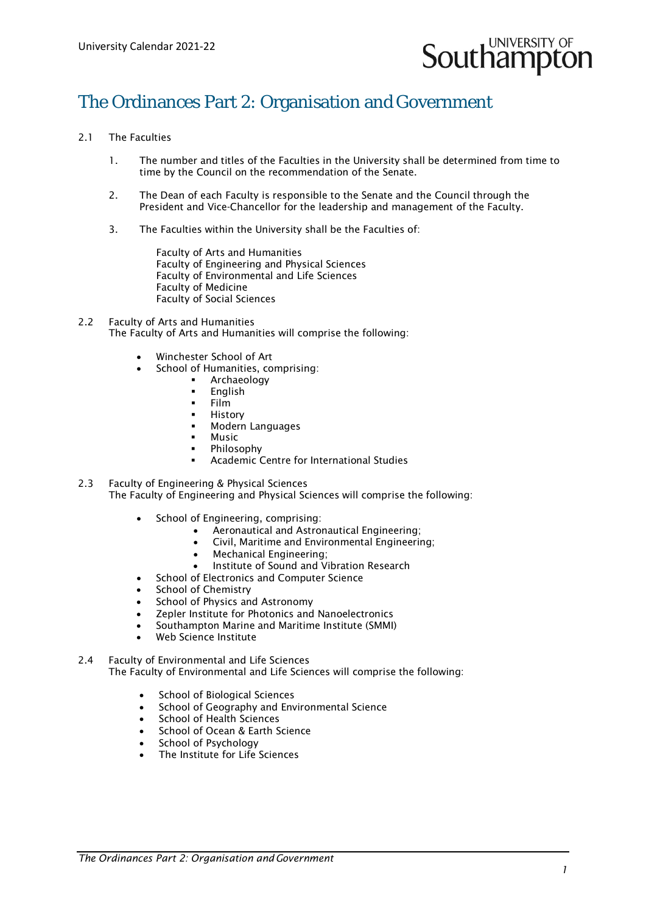

# The Ordinances Part 2: Organisation and Government

- 2.1 The Faculties
	- 1. The number and titles of the Faculties in the University shall be determined from time to time by the Council on the recommendation of the Senate.
	- 2. The Dean of each Faculty is responsible to the Senate and the Council through the President and Vice-Chancellor for the leadership and management of the Faculty.
	- 3. The Faculties within the University shall be the Faculties of:
		- Faculty of Arts and Humanities Faculty of Engineering and Physical Sciences Faculty of Environmental and Life Sciences Faculty of Medicine Faculty of Social Sciences
- 2.2 Faculty of Arts and Humanities The Faculty of Arts and Humanities will comprise the following:
	- Winchester School of Art
	- School of Humanities, comprising:
		- **-** Archaeology<br>**-** Fnglish
		- English
		- $-$  Film
		- History
		- Modern Languages
		- Music
		- Philosophy
		- Academic Centre for International Studies
- 2.3 Faculty of Engineering & Physical Sciences The Faculty of Engineering and Physical Sciences will comprise the following:
	- School of Engineering, comprising:
		- Aeronautical and Astronautical Engineering;
		- Civil, Maritime and Environmental Engineering;
		- Mechanical Engineering;
		- Institute of Sound and Vibration Research
	- School of Electronics and Computer Science
	- School of Chemistry
	- School of Physics and Astronomy
	- Zepler Institute for Photonics and Nanoelectronics
	- Southampton Marine and Maritime Institute (SMMI)
	- Web Science Institute
- 2.4 Faculty of Environmental and Life Sciences The Faculty of Environmental and Life Sciences will comprise the following:
	- School of Biological Sciences
	- School of Geography and Environmental Science
	- School of Health Sciences
	- School of Ocean & Earth Science
	- School of Psychology
	- The Institute for Life Sciences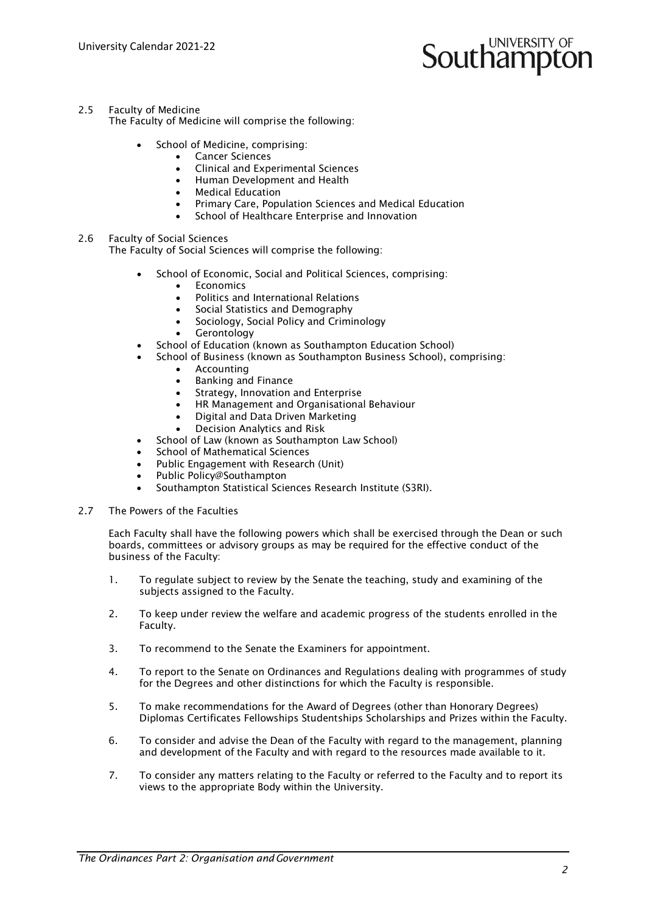# **UNIVERSITY OF** Southamptor

# 2.5 Faculty of Medicine

The Faculty of Medicine will comprise the following:

- School of Medicine, comprising:
	- **Cancer Sciences**
	- Clinical and Experimental Sciences
	- Human Development and Health
	- Medical Education
	- Primary Care, Population Sciences and Medical Education
	- School of Healthcare Enterprise and Innovation

# 2.6 Faculty of Social Sciences

The Faculty of Social Sciences will comprise the following:

- School of Economic, Social and Political Sciences, comprising:
	- **F**conomics
	- Politics and International Relations
	- Social Statistics and Demography
	- Sociology, Social Policy and Criminology
	- **Gerontology**
- School of Education (known as Southampton Education School)
- School of Business (known as Southampton Business School), comprising:
	- Accounting
		- Banking and Finance
		- Strategy, Innovation and Enterprise
		- HR Management and Organisational Behaviour
		- Digital and Data Driven Marketing
		- Decision Analytics and Risk
- School of Law (known as Southampton Law School)
- School of Mathematical Sciences
- Public Engagement with Research (Unit)
- Public Policy@Southampton
- Southampton Statistical Sciences Research Institute (S3RI).
- 2.7 The Powers of the Faculties

Each Faculty shall have the following powers which shall be exercised through the Dean or such boards, committees or advisory groups as may be required for the effective conduct of the business of the Faculty:

- 1. To regulate subject to review by the Senate the teaching, study and examining of the subjects assigned to the Faculty.
- 2. To keep under review the welfare and academic progress of the students enrolled in the Faculty.
- 3. To recommend to the Senate the Examiners for appointment.
- 4. To report to the Senate on Ordinances and Regulations dealing with programmes of study for the Degrees and other distinctions for which the Faculty is responsible.
- 5. To make recommendations for the Award of Degrees (other than Honorary Degrees) Diplomas Certificates Fellowships Studentships Scholarships and Prizes within the Faculty.
- 6. To consider and advise the Dean of the Faculty with regard to the management, planning and development of the Faculty and with regard to the resources made available to it.
- 7. To consider any matters relating to the Faculty or referred to the Faculty and to report its views to the appropriate Body within the University.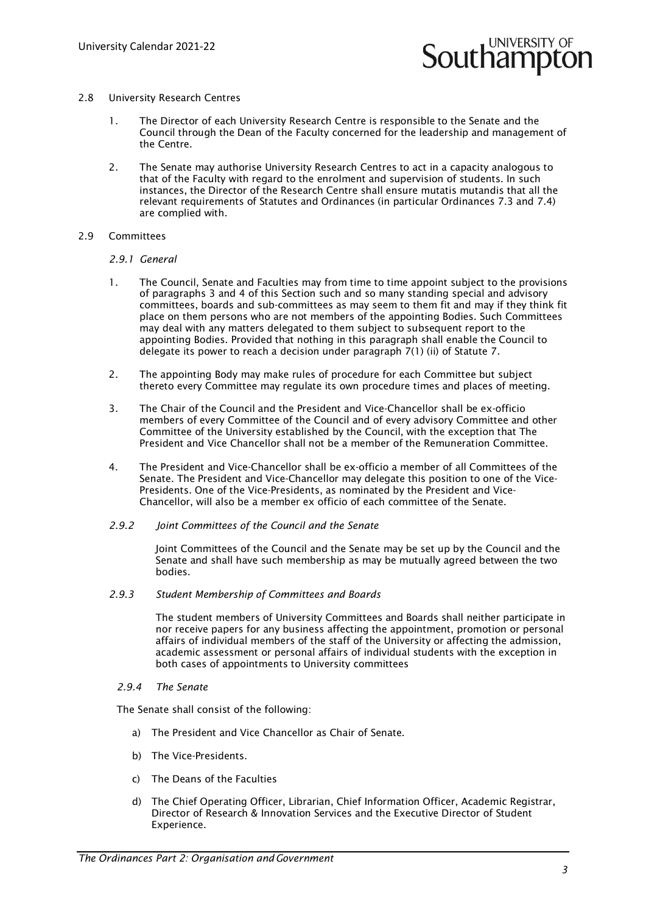

- 2.8 University Research Centres
	- 1. The Director of each University Research Centre is responsible to the Senate and the Council through the Dean of the Faculty concerned for the leadership and management of the Centre.
	- 2. The Senate may authorise University Research Centres to act in a capacity analogous to that of the Faculty with regard to the enrolment and supervision of students. In such instances, the Director of the Research Centre shall ensure mutatis mutandis that all the relevant requirements of Statutes and Ordinances (in particular Ordinances 7.3 and 7.4) are complied with.
- 2.9 Committees

# *2.9.1 General*

- 1. The Council, Senate and Faculties may from time to time appoint subject to the provisions of paragraphs 3 and 4 of this Section such and so many standing special and advisory committees, boards and sub-committees as may seem to them fit and may if they think fit place on them persons who are not members of the appointing Bodies. Such Committees may deal with any matters delegated to them subject to subsequent report to the appointing Bodies. Provided that nothing in this paragraph shall enable the Council to delegate its power to reach a decision under paragraph 7(1) (ii) of Statute 7.
- 2. The appointing Body may make rules of procedure for each Committee but subject thereto every Committee may regulate its own procedure times and places of meeting.
- 3. The Chair of the Council and the President and Vice-Chancellor shall be ex-officio members of every Committee of the Council and of every advisory Committee and other Committee of the University established by the Council, with the exception that The President and Vice Chancellor shall not be a member of the Remuneration Committee.
- 4. The President and Vice-Chancellor shall be ex-officio a member of all Committees of the Senate. The President and Vice-Chancellor may delegate this position to one of the Vice-Presidents. One of the Vice-Presidents, as nominated by the President and Vice-Chancellor, will also be a member ex officio of each committee of the Senate.
- *2.9.2 Joint Committees of the Council and the Senate*

Joint Committees of the Council and the Senate may be set up by the Council and the Senate and shall have such membership as may be mutually agreed between the two bodies.

*2.9.3 Student Membership of Committees and Boards*

The student members of University Committees and Boards shall neither participate in nor receive papers for any business affecting the appointment, promotion or personal affairs of individual members of the staff of the University or affecting the admission, academic assessment or personal affairs of individual students with the exception in both cases of appointments to University committees

*2.9.4 The Senate* 

The Senate shall consist of the following:

- a) The President and Vice Chancellor as Chair of Senate.
- b) The Vice-Presidents.
- c) The Deans of the Faculties
- d) The Chief Operating Officer, Librarian, Chief Information Officer, Academic Registrar, Director of Research & Innovation Services and the Executive Director of Student Experience.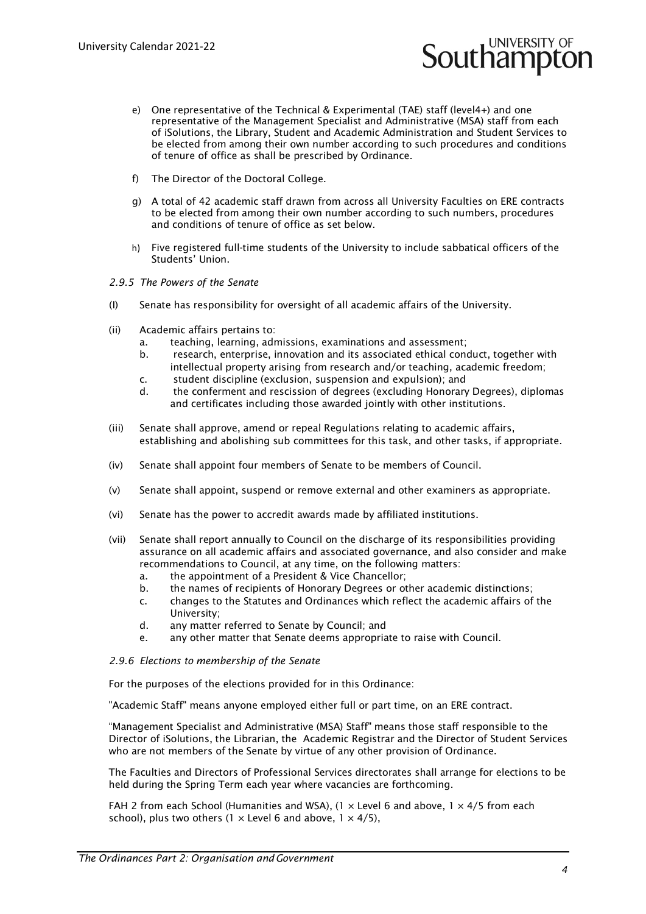e) One representative of the Technical & Experimental (TAE) staff (level4+) and one representative of the Management Specialist and Administrative (MSA) staff from each of iSolutions, the Library, Student and Academic Administration and Student Services to be elected from among their own number according to such procedures and conditions of tenure of office as shall be prescribed by Ordinance.

**Southampton** 

- f) The Director of the Doctoral College.
- g) A total of 42 academic staff drawn from across all University Faculties on ERE contracts to be elected from among their own number according to such numbers, procedures and conditions of tenure of office as set below.
- h) Five registered full-time students of the University to include sabbatical officers of the Students' Union.

#### *2.9.5 The Powers of the Senate*

- (I) Senate has responsibility for oversight of all academic affairs of the University.
- (ii) Academic affairs pertains to:
	- a. teaching, learning, admissions, examinations and assessment;
	- b. research, enterprise, innovation and its associated ethical conduct, together with intellectual property arising from research and/or teaching, academic freedom;
	- c. student discipline (exclusion, suspension and expulsion); and
	- d. the conferment and rescission of degrees (excluding Honorary Degrees), diplomas and certificates including those awarded jointly with other institutions.
- (iii) Senate shall approve, amend or repeal Regulations relating to academic affairs, establishing and abolishing sub committees for this task, and other tasks, if appropriate.
- (iv) Senate shall appoint four members of Senate to be members of Council.
- (v) Senate shall appoint, suspend or remove external and other examiners as appropriate.
- (vi) Senate has the power to accredit awards made by affiliated institutions.
- (vii) Senate shall report annually to Council on the discharge of its responsibilities providing assurance on all academic affairs and associated governance, and also consider and make recommendations to Council, at any time, on the following matters:
	- a. the appointment of a President & Vice Chancellor;
	- b. the names of recipients of Honorary Degrees or other academic distinctions;
	- c. changes to the Statutes and Ordinances which reflect the academic affairs of the
		- University;
	- d. any matter referred to Senate by Council; and
	- e. any other matter that Senate deems appropriate to raise with Council.

# *2.9.6 Elections to membership of the Senate*

For the purposes of the elections provided for in this Ordinance:

"Academic Staff" means anyone employed either full or part time, on an ERE contract.

"Management Specialist and Administrative (MSA) Staff" means those staff responsible to the Director of iSolutions, the Librarian, the Academic Registrar and the Director of Student Services who are not members of the Senate by virtue of any other provision of Ordinance.

The Faculties and Directors of Professional Services directorates shall arrange for elections to be held during the Spring Term each year where vacancies are forthcoming.

FAH 2 from each School (Humanities and WSA),  $(1 \times$  Level 6 and above,  $1 \times 4/5$  from each school), plus two others (1  $\times$  Level 6 and above, 1  $\times$  4/5),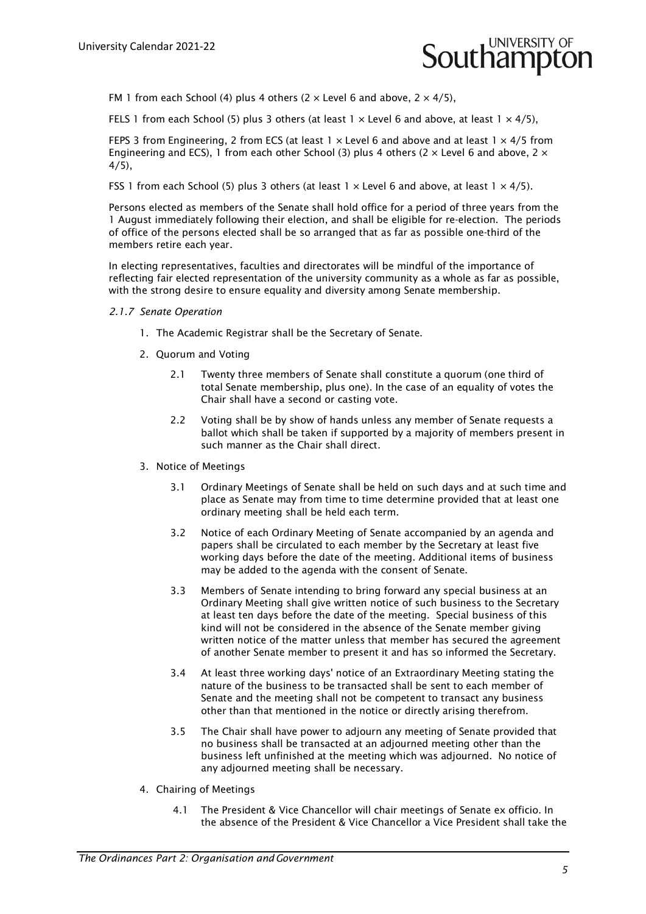

FM 1 from each School (4) plus 4 others (2  $\times$  Level 6 and above, 2  $\times$  4/5),

FELS 1 from each School (5) plus 3 others (at least  $1 \times$  Level 6 and above, at least  $1 \times 4/5$ ),

FEPS 3 from Engineering, 2 from ECS (at least  $1 \times$  Level 6 and above and at least  $1 \times 4/5$  from Engineering and ECS), 1 from each other School (3) plus 4 others (2  $\times$  Level 6 and above, 2  $\times$  $4/5$ ).

FSS 1 from each School (5) plus 3 others (at least  $1 \times 1$  evel 6 and above, at least  $1 \times 4/5$ ).

Persons elected as members of the Senate shall hold office for a period of three years from the 1 August immediately following their election, and shall be eligible for re-election. The periods of office of the persons elected shall be so arranged that as far as possible one-third of the members retire each year.

In electing representatives, faculties and directorates will be mindful of the importance of reflecting fair elected representation of the university community as a whole as far as possible, with the strong desire to ensure equality and diversity among Senate membership.

# *2.1.7 Senate Operation*

- 1. The Academic Registrar shall be the Secretary of Senate.
- 2. Quorum and Voting
	- 2.1 Twenty three members of Senate shall constitute a quorum (one third of total Senate membership, plus one). In the case of an equality of votes the Chair shall have a second or casting vote.
	- 2.2 Voting shall be by show of hands unless any member of Senate requests a ballot which shall be taken if supported by a majority of members present in such manner as the Chair shall direct.
- 3. Notice of Meetings
	- 3.1 Ordinary Meetings of Senate shall be held on such days and at such time and place as Senate may from time to time determine provided that at least one ordinary meeting shall be held each term.
	- 3.2 Notice of each Ordinary Meeting of Senate accompanied by an agenda and papers shall be circulated to each member by the Secretary at least five working days before the date of the meeting. Additional items of business may be added to the agenda with the consent of Senate.
	- 3.3 Members of Senate intending to bring forward any special business at an Ordinary Meeting shall give written notice of such business to the Secretary at least ten days before the date of the meeting. Special business of this kind will not be considered in the absence of the Senate member giving written notice of the matter unless that member has secured the agreement of another Senate member to present it and has so informed the Secretary.
	- 3.4 At least three working days' notice of an Extraordinary Meeting stating the nature of the business to be transacted shall be sent to each member of Senate and the meeting shall not be competent to transact any business other than that mentioned in the notice or directly arising therefrom.
	- 3.5 The Chair shall have power to adjourn any meeting of Senate provided that no business shall be transacted at an adjourned meeting other than the business left unfinished at the meeting which was adjourned. No notice of any adjourned meeting shall be necessary.
- 4. Chairing of Meetings
	- 4.1 The President & Vice Chancellor will chair meetings of Senate ex officio. In the absence of the President & Vice Chancellor a Vice President shall take the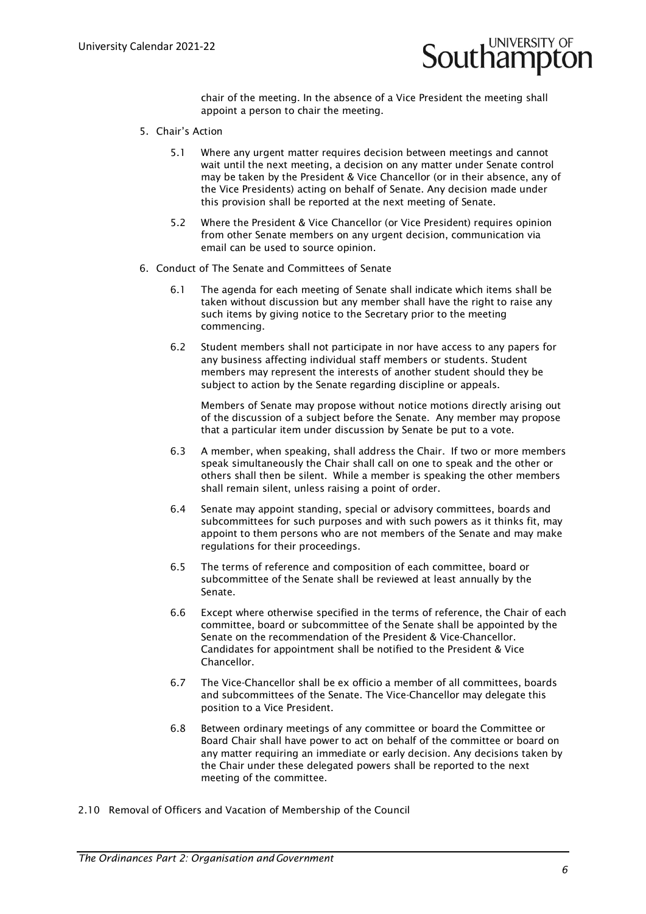

chair of the meeting. In the absence of a Vice President the meeting shall appoint a person to chair the meeting.

- 5. Chair's Action
	- 5.1 Where any urgent matter requires decision between meetings and cannot wait until the next meeting, a decision on any matter under Senate control may be taken by the President & Vice Chancellor (or in their absence, any of the Vice Presidents) acting on behalf of Senate. Any decision made under this provision shall be reported at the next meeting of Senate.
	- 5.2 Where the President & Vice Chancellor (or Vice President) requires opinion from other Senate members on any urgent decision, communication via email can be used to source opinion.
- 6. Conduct of The Senate and Committees of Senate
	- 6.1 The agenda for each meeting of Senate shall indicate which items shall be taken without discussion but any member shall have the right to raise any such items by giving notice to the Secretary prior to the meeting commencing.
	- 6.2 Student members shall not participate in nor have access to any papers for any business affecting individual staff members or students. Student members may represent the interests of another student should they be subject to action by the Senate regarding discipline or appeals.

Members of Senate may propose without notice motions directly arising out of the discussion of a subject before the Senate. Any member may propose that a particular item under discussion by Senate be put to a vote.

- 6.3 A member, when speaking, shall address the Chair. If two or more members speak simultaneously the Chair shall call on one to speak and the other or others shall then be silent. While a member is speaking the other members shall remain silent, unless raising a point of order.
- 6.4 Senate may appoint standing, special or advisory committees, boards and subcommittees for such purposes and with such powers as it thinks fit, may appoint to them persons who are not members of the Senate and may make regulations for their proceedings.
- 6.5 The terms of reference and composition of each committee, board or subcommittee of the Senate shall be reviewed at least annually by the Senate.
- 6.6 Except where otherwise specified in the terms of reference, the Chair of each committee, board or subcommittee of the Senate shall be appointed by the Senate on the recommendation of the President & Vice-Chancellor. Candidates for appointment shall be notified to the President & Vice Chancellor.
- 6.7 The Vice-Chancellor shall be ex officio a member of all committees, boards and subcommittees of the Senate. The Vice-Chancellor may delegate this position to a Vice President.
- 6.8 Between ordinary meetings of any committee or board the Committee or Board Chair shall have power to act on behalf of the committee or board on any matter requiring an immediate or early decision. Any decisions taken by the Chair under these delegated powers shall be reported to the next meeting of the committee.
- 2.10 Removal of Officers and Vacation of Membership of the Council